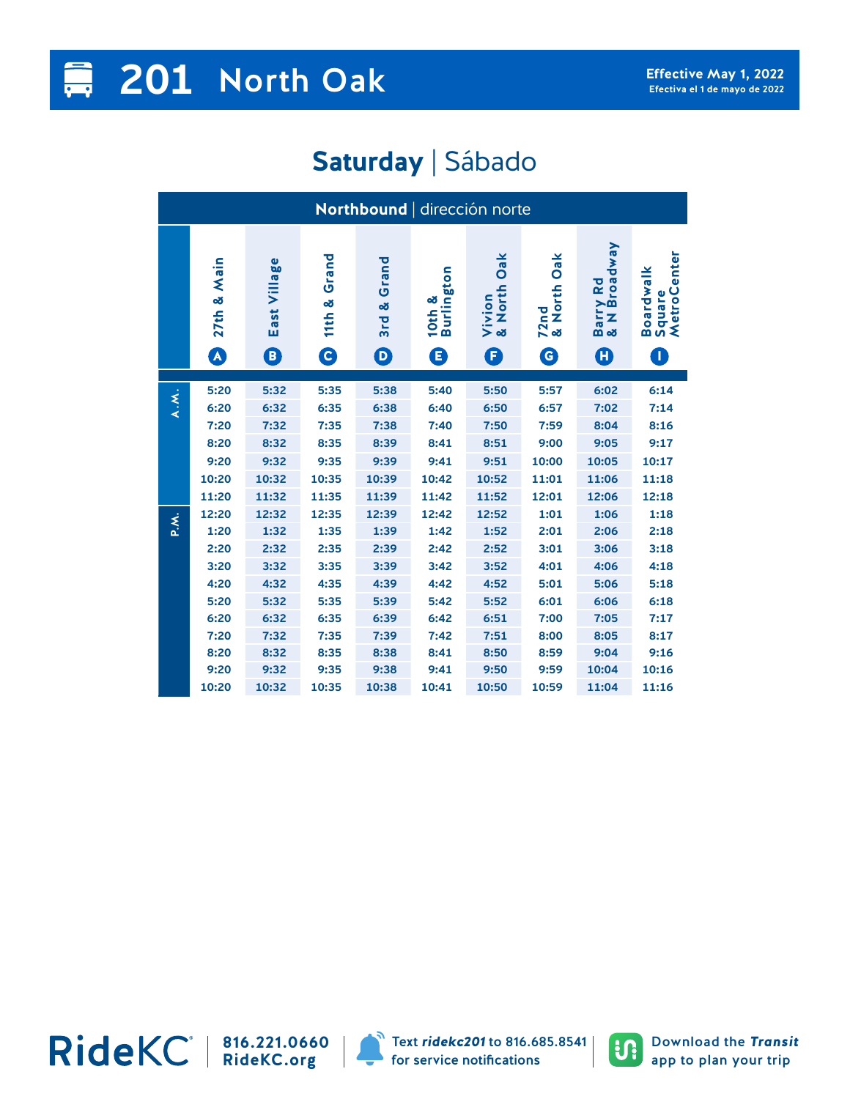## **201** North Oak

## **Saturday** | Sábado

| Northbound   dirección norte |                                      |                      |                                 |                                     |                           |                                        |                             |                                            |                                             |  |
|------------------------------|--------------------------------------|----------------------|---------------------------------|-------------------------------------|---------------------------|----------------------------------------|-----------------------------|--------------------------------------------|---------------------------------------------|--|
|                              | 27th & Main<br>$\boldsymbol{\Omega}$ | Village<br>East<br>O | Grand<br>×<br>11th<br>$\bullet$ | Grand<br>3rd &<br>$\mathbf  \Theta$ | 10th &<br>Burlington<br>G | Oak<br>North<br>Vivion<br>& Nortl<br>G | Oak<br>72nd<br>& North<br>G | rry Rd<br>4 Broadway<br>Z<br>na<br>음성<br>O | enter<br>Boardwalk<br>Square<br>MetroC<br>T |  |
|                              |                                      |                      |                                 |                                     |                           |                                        |                             |                                            |                                             |  |
| $\lambda$ . $\lambda$ .      | 5:20                                 | 5:32                 | 5:35                            | 5:38                                | 5:40                      | 5:50                                   | 5:57                        | 6:02                                       | 6:14                                        |  |
|                              | 6:20                                 | 6:32                 | 6:35                            | 6:38                                | 6:40                      | 6:50                                   | 6:57                        | 7:02                                       | 7:14                                        |  |
|                              | 7:20                                 | 7:32                 | 7:35                            | 7:38                                | 7:40                      | 7:50                                   | 7:59                        | 8:04                                       | 8:16                                        |  |
|                              | 8:20                                 | 8:32                 | 8:35                            | 8:39                                | 8:41                      | 8:51                                   | 9:00                        | 9:05                                       | 9:17                                        |  |
|                              | 9:20                                 | 9:32                 | 9:35                            | 9:39                                | 9:41                      | 9:51                                   | 10:00                       | 10:05                                      | 10:17                                       |  |
|                              | 10:20                                | 10:32                | 10:35                           | 10:39                               | 10:42                     | 10:52                                  | 11:01                       | 11:06                                      | 11:18                                       |  |
|                              | 11:20                                | 11:32                | 11:35                           | 11:39                               | 11:42                     | 11:52                                  | 12:01                       | 12:06                                      | 12:18                                       |  |
| P.X.                         | 12:20                                | 12:32                | 12:35                           | 12:39                               | 12:42                     | 12:52                                  | 1:01                        | 1:06                                       | 1:18                                        |  |
|                              | 1:20                                 | 1:32                 | 1:35                            | 1:39                                | 1:42                      | 1:52                                   | 2:01                        | 2:06                                       | 2:18                                        |  |
|                              | 2:20                                 | 2:32                 | 2:35                            | 2:39                                | 2:42                      | 2:52                                   | 3:01                        | 3:06                                       | 3:18                                        |  |
|                              | 3:20                                 | 3:32                 | 3:35                            | 3:39                                | 3:42                      | 3:52                                   | 4:01                        | 4:06                                       | 4:18                                        |  |
|                              | 4:20                                 | 4:32                 | 4:35                            | 4:39                                | 4:42                      | 4:52                                   | 5:01                        | 5:06                                       | 5:18                                        |  |
|                              | 5:20                                 | 5:32                 | 5:35                            | 5:39                                | 5:42                      | 5:52                                   | 6:01                        | 6:06                                       | 6:18                                        |  |
|                              | 6:20                                 | 6:32                 | 6:35                            | 6:39                                | 6:42                      | 6:51                                   | 7:00                        | 7:05                                       | 7:17                                        |  |
|                              | 7:20                                 | 7:32                 | 7:35                            | 7:39                                | 7:42                      | 7:51                                   | 8:00                        | 8:05                                       | 8:17                                        |  |
|                              | 8:20                                 | 8:32                 | 8:35                            | 8:38                                | 8:41                      | 8:50                                   | 8:59                        | 9:04                                       | 9:16                                        |  |
|                              | 9:20                                 | 9:32                 | 9:35                            | 9:38                                | 9:41                      | 9:50                                   | 9:59                        | 10:04                                      | 10:16                                       |  |
|                              | 10:20                                | 10:32                | 10:35                           | 10:38                               | 10:41                     | 10:50                                  | 10:59                       | 11:04                                      | 11:16                                       |  |

**816.221.0660 RideKC.org**



Text *ridekc201* to 816.685.8541 for service notifications